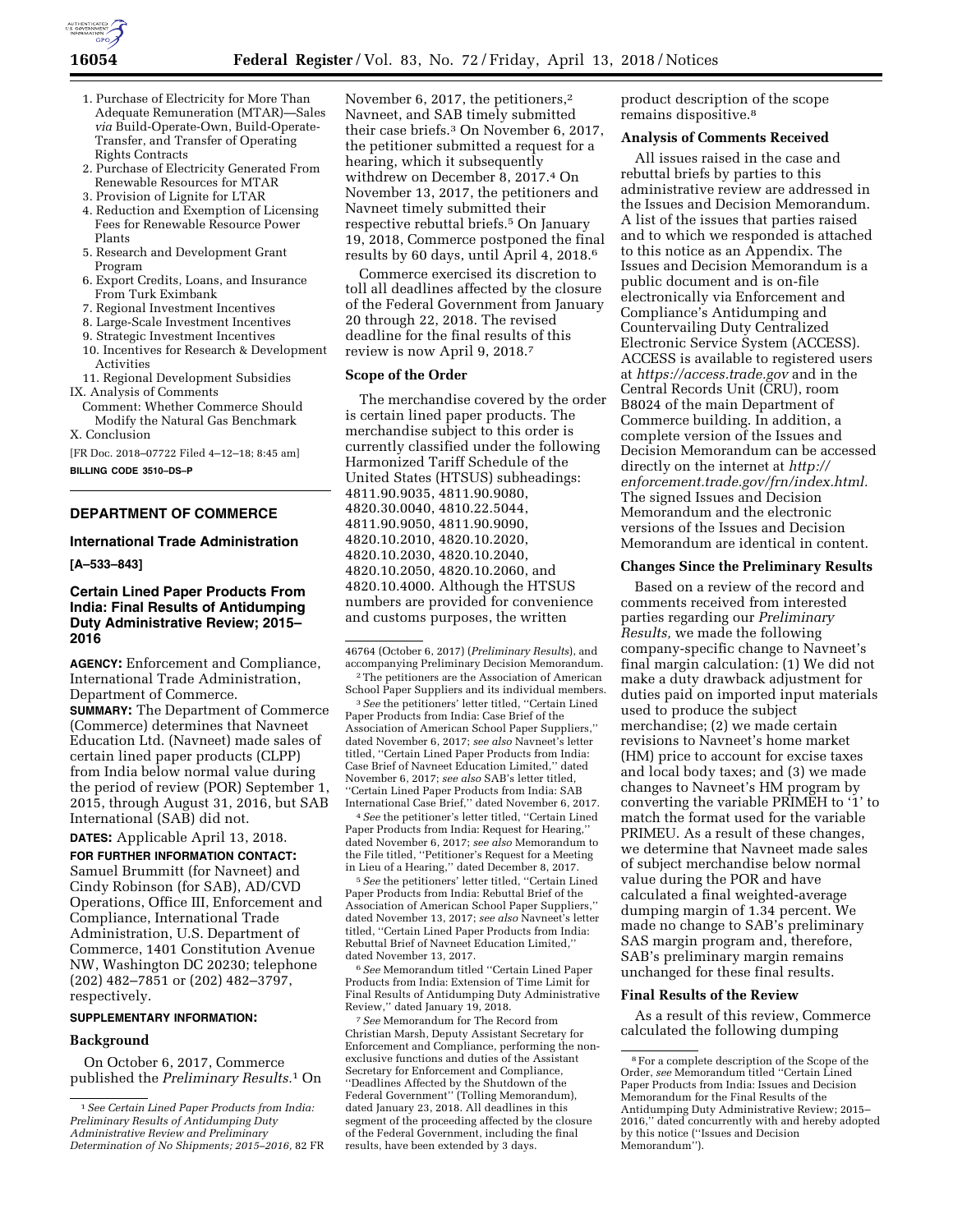

- 1. Purchase of Electricity for More Than Adequate Remuneration (MTAR)—Sales *via* Build-Operate-Own, Build-Operate-Transfer, and Transfer of Operating Rights Contracts
- 2. Purchase of Electricity Generated From Renewable Resources for MTAR
- 3. Provision of Lignite for LTAR
- 4. Reduction and Exemption of Licensing Fees for Renewable Resource Power Plants
- 5. Research and Development Grant Program
- 6. Export Credits, Loans, and Insurance From Turk Eximbank
- 7. Regional Investment Incentives
- 8. Large-Scale Investment Incentives
- 9. Strategic Investment Incentives
- 10. Incentives for Research & Development Activities
- 11. Regional Development Subsidies IX. Analysis of Comments
- Comment: Whether Commerce Should Modify the Natural Gas Benchmark X. Conclusion

[FR Doc. 2018–07722 Filed 4–12–18; 8:45 am]

**BILLING CODE 3510–DS–P** 

# **DEPARTMENT OF COMMERCE**

#### **International Trade Administration**

### **[A–533–843]**

# **Certain Lined Paper Products From India: Final Results of Antidumping Duty Administrative Review; 2015– 2016**

**AGENCY:** Enforcement and Compliance, International Trade Administration, Department of Commerce.

**SUMMARY:** The Department of Commerce (Commerce) determines that Navneet Education Ltd. (Navneet) made sales of certain lined paper products (CLPP) from India below normal value during the period of review (POR) September 1, 2015, through August 31, 2016, but SAB International (SAB) did not.

**DATES:** Applicable April 13, 2018.

**FOR FURTHER INFORMATION CONTACT:**  Samuel Brummitt (for Navneet) and Cindy Robinson (for SAB), AD/CVD Operations, Office III, Enforcement and Compliance, International Trade Administration, U.S. Department of Commerce, 1401 Constitution Avenue NW, Washington DC 20230; telephone (202) 482–7851 or (202) 482–3797, respectively.

#### **SUPPLEMENTARY INFORMATION:**

#### **Background**

On October 6, 2017, Commerce published the *Preliminary Results.*1 On

November 6, 2017, the petitioners,<sup>2</sup> Navneet, and SAB timely submitted their case briefs.3 On November 6, 2017, the petitioner submitted a request for a hearing, which it subsequently withdrew on December 8, 2017.4 On November 13, 2017, the petitioners and Navneet timely submitted their respective rebuttal briefs.5 On January 19, 2018, Commerce postponed the final results by 60 days, until April 4, 2018.6

Commerce exercised its discretion to toll all deadlines affected by the closure of the Federal Government from January 20 through 22, 2018. The revised deadline for the final results of this review is now April 9, 2018.7

# **Scope of the Order**

The merchandise covered by the order is certain lined paper products. The merchandise subject to this order is currently classified under the following Harmonized Tariff Schedule of the United States (HTSUS) subheadings: 4811.90.9035, 4811.90.9080, 4820.30.0040, 4810.22.5044, 4811.90.9050, 4811.90.9090, 4820.10.2010, 4820.10.2020, 4820.10.2030, 4820.10.2040, 4820.10.2050, 4820.10.2060, and 4820.10.4000. Although the HTSUS numbers are provided for convenience and customs purposes, the written

3*See* the petitioners' letter titled, ''Certain Lined Paper Products from India: Case Brief of the Association of American School Paper Suppliers,'' dated November 6, 2017; *see also* Navneet's letter titled, ''Certain Lined Paper Products from India: Case Brief of Navneet Education Limited,'' dated November 6, 2017; *see also* SAB's letter titled, ''Certain Lined Paper Products from India: SAB International Case Brief,'' dated November 6, 2017.

4*See* the petitioner's letter titled, ''Certain Lined Paper Products from India: Request for Hearing,'' dated November 6, 2017; *see also* Memorandum to the File titled, ''Petitioner's Request for a Meeting in Lieu of a Hearing,'' dated December 8, 2017.

5*See* the petitioners' letter titled, ''Certain Lined Paper Products from India: Rebuttal Brief of the Association of American School Paper Suppliers,'' dated November 13, 2017; *see also* Navneet's letter titled, ''Certain Lined Paper Products from India: Rebuttal Brief of Navneet Education Limited,'' dated November 13, 2017.

6*See* Memorandum titled ''Certain Lined Paper Products from India: Extension of Time Limit for Final Results of Antidumping Duty Administrative Review,'' dated January 19, 2018.

7*See* Memorandum for The Record from Christian Marsh, Deputy Assistant Secretary for Enforcement and Compliance, performing the nonexclusive functions and duties of the Assistant Secretary for Enforcement and Compliance, ''Deadlines Affected by the Shutdown of the Federal Government'' (Tolling Memorandum), dated January 23, 2018. All deadlines in this segment of the proceeding affected by the closure of the Federal Government, including the final results, have been extended by 3 days.

product description of the scope remains dispositive.8

# **Analysis of Comments Received**

All issues raised in the case and rebuttal briefs by parties to this administrative review are addressed in the Issues and Decision Memorandum. A list of the issues that parties raised and to which we responded is attached to this notice as an Appendix. The Issues and Decision Memorandum is a public document and is on-file electronically via Enforcement and Compliance's Antidumping and Countervailing Duty Centralized Electronic Service System (ACCESS). ACCESS is available to registered users at *<https://access.trade.gov>*and in the Central Records Unit (CRU), room B8024 of the main Department of Commerce building. In addition, a complete version of the Issues and Decision Memorandum can be accessed directly on the internet at *[http://](http://enforcement.trade.gov/frn/index.html) [enforcement.trade.gov/frn/index.html.](http://enforcement.trade.gov/frn/index.html)*  The signed Issues and Decision Memorandum and the electronic versions of the Issues and Decision Memorandum are identical in content.

#### **Changes Since the Preliminary Results**

Based on a review of the record and comments received from interested parties regarding our *Preliminary Results,* we made the following company-specific change to Navneet's final margin calculation: (1) We did not make a duty drawback adjustment for duties paid on imported input materials used to produce the subject merchandise; (2) we made certain revisions to Navneet's home market (HM) price to account for excise taxes and local body taxes; and (3) we made changes to Navneet's HM program by converting the variable PRIMEH to '1' to match the format used for the variable PRIMEU. As a result of these changes, we determine that Navneet made sales of subject merchandise below normal value during the POR and have calculated a final weighted-average dumping margin of 1.34 percent. We made no change to SAB's preliminary SAS margin program and, therefore, SAB's preliminary margin remains unchanged for these final results.

#### **Final Results of the Review**

As a result of this review, Commerce calculated the following dumping

<sup>1</sup>*See Certain Lined Paper Products from India: Preliminary Results of Antidumping Duty Administrative Review and Preliminary Determination of No Shipments; 2015–2016,* 82 FR

<sup>46764 (</sup>October 6, 2017) (*Preliminary Results*), and accompanying Preliminary Decision Memorandum.

<sup>2</sup>The petitioners are the Association of American School Paper Suppliers and its individual members.

<sup>8</sup>For a complete description of the Scope of the Order, *see* Memorandum titled ''Certain Lined Paper Products from India: Issues and Decision Memorandum for the Final Results of the Antidumping Duty Administrative Review; 2015– 2016,'' dated concurrently with and hereby adopted by this notice (''Issues and Decision Memorandum'').